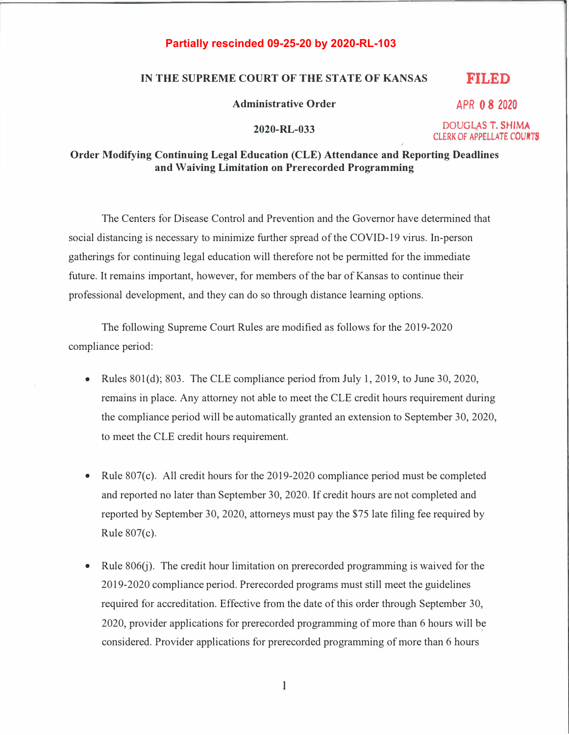## **Partially rescinded 09-25-20 by 2020-RL-103**

## **IN THE SUPREME COURT OF THE STATE OF KANSAS FILED**

**Administrative Order** 

**2020-RL-033** 

**DOUGLAS T. SHIMA CLERK OF APPELLATE COURTS** 

**APR O 8 2020** 

## **Order Modifying Continuing Legal Education (CLE) Attendance and Reporting Deadlines and Waiving Limitation on Prerecorded Programming**

The Centers for Disease Control and Prevention and the Governor have determined that social distancing is necessary to minimize further spread of the COVID-19 virus. In-person gatherings for continuing legal education will therefore not be permitted for the immediate future. It remains important, however, for members of the bar of Kansas to continue their professional development, and they can do so through distance learning options.

The following Supreme Court Rules are modified as follows for the 2019-2020 compliance period:

- Rules 801(d); 803. The CLE compliance period from July 1, 2019, to June 30, 2020, remains in place. Any attorney not able to meet the CLE credit hours requirement during the compliance period will be automatically granted an extension to September 30, 2020, to meet the CLE credit hours requirement.
- Rule 807(c). All credit hours for the 2019-2020 compliance period must be completed and reported no later than September 30, 2020. If credit hours are not completed and reported by September 30, 2020, attorneys must pay the \$75 late filing fee required by Rule 807(c).
- Rule 806(j). The credit hour limitation on prerecorded programming is waived for the 2019-2020 compliance period. Prerecorded programs must still meet the guidelines required for accreditation. Effective from the date of this order through September 30, 2020, provider applications for prerecorded programming of more than 6 hours will be considered. Provider applications for prerecorded programming of more than 6 hours

I